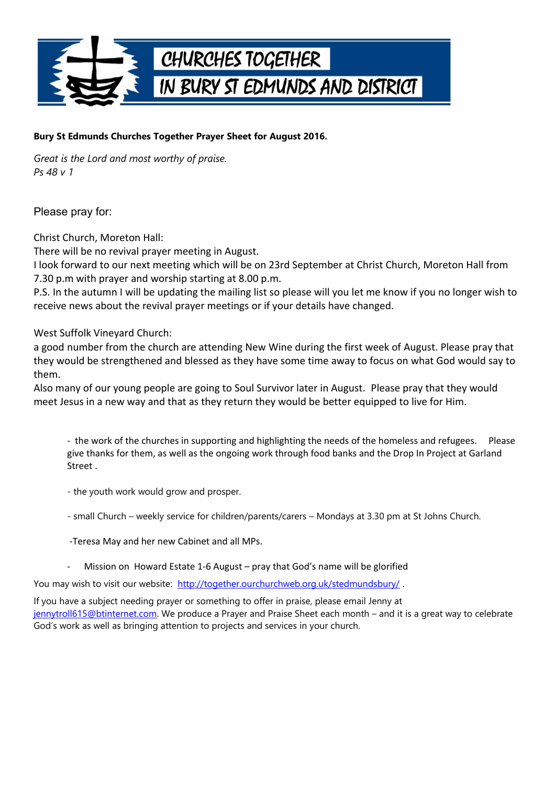

## **Bury St Edmunds Churches Together Prayer Sheet for August 2016.**

*Great is the Lord and most worthy of praise. Ps 48 v 1*

Please pray for:

Christ Church, Moreton Hall:

There will be no revival prayer meeting in August.

I look forward to our next meeting which will be on 23rd September at Christ Church, Moreton Hall from 7.30 p.m with prayer and worship starting at 8.00 p.m.

P.S. In the autumn I will be updating the mailing list so please will you let me know if you no longer wish to receive news about the revival prayer meetings or if your details have changed.

West Suffolk Vineyard Church:

a good number from the church are attending New Wine during the first week of August. Please pray that they would be strengthened and blessed as they have some time away to focus on what God would say to them.

Also many of our young people are going to Soul Survivor later in August. Please pray that they would meet Jesus in a new way and that as they return they would be better equipped to live for Him.

- the work of the churches in supporting and highlighting the needs of the homeless and refugees. Please give thanks for them, as well as the ongoing work through food banks and the Drop In Project at Garland Street .

- the youth work would grow and prosper.

- small Church – weekly service for children/parents/carers – Mondays at 3.30 pm at St Johns Church.

-Teresa May and her new Cabinet and all MPs.

Mission on Howard Estate 1-6 August – pray that God's name will be glorified

You may wish to visit our website: http://together.ourchurchweb.org.uk/stedmundsbury/.

If you have a subject needing prayer or something to offer in praise, please email Jenny at [jennytroll615@btinternet.com.](mailto:jennytroll615@btinternet.com) We produce a Prayer and Praise Sheet each month – and it is a great way to celebrate God's work as well as bringing attention to projects and services in your church.